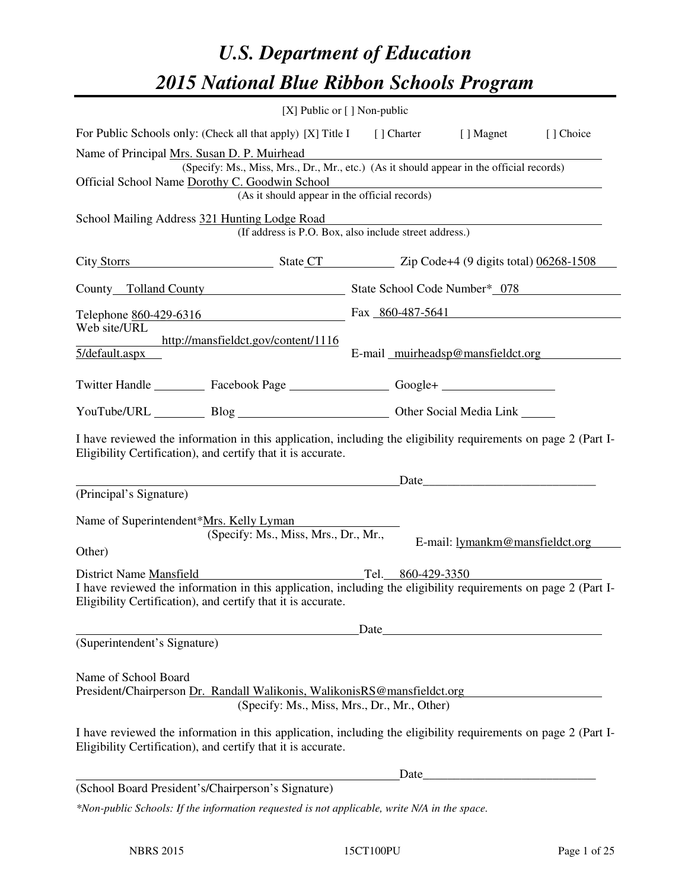# *U.S. Department of Education 2015 National Blue Ribbon Schools Program*

|                                                                                                                                                                                                                               | [X] Public or [] Non-public |      |       |                                                                                                                      |           |
|-------------------------------------------------------------------------------------------------------------------------------------------------------------------------------------------------------------------------------|-----------------------------|------|-------|----------------------------------------------------------------------------------------------------------------------|-----------|
| For Public Schools only: (Check all that apply) [X] Title I [] Charter [] Magnet                                                                                                                                              |                             |      |       |                                                                                                                      | [] Choice |
| Name of Principal Mrs. Susan D. P. Muirhead<br>(Specify: Ms., Miss, Mrs., Dr., Mr., etc.) (As it should appear in the official records)                                                                                       |                             |      |       |                                                                                                                      |           |
| Official School Name Dorothy C. Goodwin School<br>(As it should appear in the official records)                                                                                                                               |                             |      |       |                                                                                                                      |           |
| School Mailing Address 321 Hunting Lodge Road                                                                                                                                                                                 |                             |      |       |                                                                                                                      |           |
| (If address is P.O. Box, also include street address.)                                                                                                                                                                        |                             |      |       |                                                                                                                      |           |
| City Storrs State CT Zip Code+4 (9 digits total) 06268-1508                                                                                                                                                                   |                             |      |       |                                                                                                                      |           |
| County Tolland County State School Code Number* 078                                                                                                                                                                           |                             |      |       |                                                                                                                      |           |
| Telephone $860-429-6316$ Fax $860-487-5641$<br>Web site/URL                                                                                                                                                                   |                             |      |       |                                                                                                                      |           |
| http://mansfieldct.gov/content/1116<br>5/default.aspx                                                                                                                                                                         |                             |      |       | E-mail muirheadsp@mansfieldct.org                                                                                    |           |
| Twitter Handle ____________ Facebook Page _____________________ Google+ ___________________________                                                                                                                           |                             |      |       |                                                                                                                      |           |
| YouTube/URL Blog Blog Discount Cher Social Media Link                                                                                                                                                                         |                             |      |       |                                                                                                                      |           |
| I have reviewed the information in this application, including the eligibility requirements on page 2 (Part I-<br>Eligibility Certification), and certify that it is accurate.                                                |                             |      |       |                                                                                                                      |           |
|                                                                                                                                                                                                                               |                             |      |       | Date                                                                                                                 |           |
| (Principal's Signature)                                                                                                                                                                                                       |                             |      |       |                                                                                                                      |           |
| Name of Superintendent*Mrs. Kelly Lyman<br>(Specify: Ms., Miss, Mrs., Dr., Mr.,                                                                                                                                               |                             |      |       | E-mail: lymankm@mansfieldct.org                                                                                      |           |
| Other)                                                                                                                                                                                                                        |                             |      |       |                                                                                                                      |           |
| Tel. 860-429-3350<br>District Name Mansfield<br>I have reviewed the information in this application, including the eligibility requirements on page 2 (Part I-                                                                |                             |      |       |                                                                                                                      |           |
| Eligibility Certification), and certify that it is accurate.                                                                                                                                                                  |                             |      |       |                                                                                                                      |           |
|                                                                                                                                                                                                                               |                             | Date |       |                                                                                                                      |           |
| (Superintendent's Signature)                                                                                                                                                                                                  |                             |      |       |                                                                                                                      |           |
| Name of School Board<br>President/Chairperson Dr. Randall Walikonis, WalikonisRS@mansfieldct.org                                                                                                                              |                             |      |       |                                                                                                                      |           |
| (Specify: Ms., Miss, Mrs., Dr., Mr., Other)<br>I have reviewed the information in this application, including the eligibility requirements on page 2 (Part I-<br>Eligibility Certification), and certify that it is accurate. |                             |      |       |                                                                                                                      |           |
|                                                                                                                                                                                                                               |                             |      | Date_ | <u> 1980 - Johann Barn, mars ar breithinn ar breithinn ar breithinn ar breithinn ar breithinn ar breithinn ar br</u> |           |
| (School Board President's/Chairperson's Signature)<br>*Non-public Schools: If the information requested is not applicable, write N/A in the space.                                                                            |                             |      |       |                                                                                                                      |           |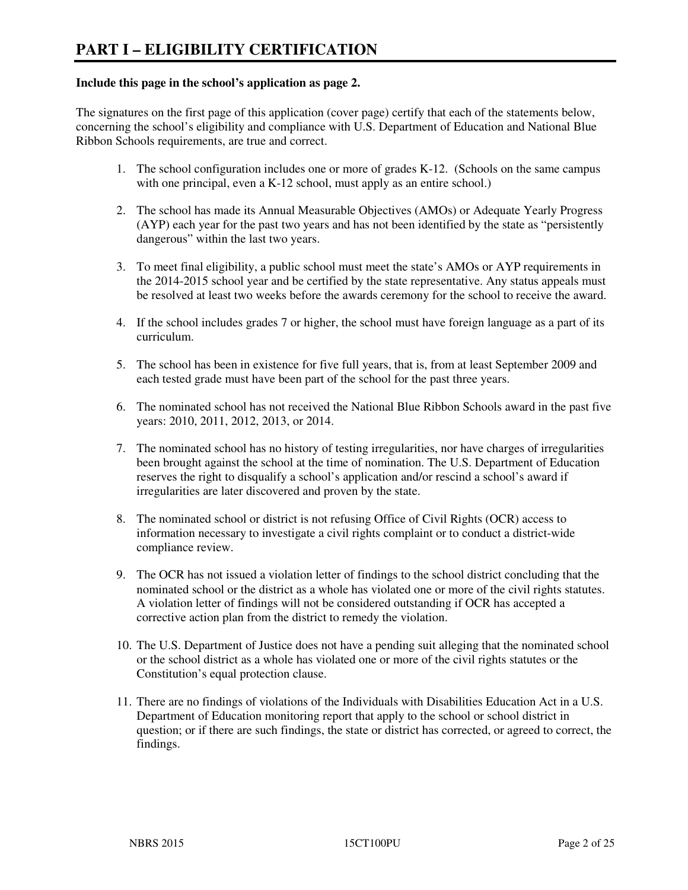#### **Include this page in the school's application as page 2.**

The signatures on the first page of this application (cover page) certify that each of the statements below, concerning the school's eligibility and compliance with U.S. Department of Education and National Blue Ribbon Schools requirements, are true and correct.

- 1. The school configuration includes one or more of grades K-12. (Schools on the same campus with one principal, even a K-12 school, must apply as an entire school.)
- 2. The school has made its Annual Measurable Objectives (AMOs) or Adequate Yearly Progress (AYP) each year for the past two years and has not been identified by the state as "persistently dangerous" within the last two years.
- 3. To meet final eligibility, a public school must meet the state's AMOs or AYP requirements in the 2014-2015 school year and be certified by the state representative. Any status appeals must be resolved at least two weeks before the awards ceremony for the school to receive the award.
- 4. If the school includes grades 7 or higher, the school must have foreign language as a part of its curriculum.
- 5. The school has been in existence for five full years, that is, from at least September 2009 and each tested grade must have been part of the school for the past three years.
- 6. The nominated school has not received the National Blue Ribbon Schools award in the past five years: 2010, 2011, 2012, 2013, or 2014.
- 7. The nominated school has no history of testing irregularities, nor have charges of irregularities been brought against the school at the time of nomination. The U.S. Department of Education reserves the right to disqualify a school's application and/or rescind a school's award if irregularities are later discovered and proven by the state.
- 8. The nominated school or district is not refusing Office of Civil Rights (OCR) access to information necessary to investigate a civil rights complaint or to conduct a district-wide compliance review.
- 9. The OCR has not issued a violation letter of findings to the school district concluding that the nominated school or the district as a whole has violated one or more of the civil rights statutes. A violation letter of findings will not be considered outstanding if OCR has accepted a corrective action plan from the district to remedy the violation.
- 10. The U.S. Department of Justice does not have a pending suit alleging that the nominated school or the school district as a whole has violated one or more of the civil rights statutes or the Constitution's equal protection clause.
- 11. There are no findings of violations of the Individuals with Disabilities Education Act in a U.S. Department of Education monitoring report that apply to the school or school district in question; or if there are such findings, the state or district has corrected, or agreed to correct, the findings.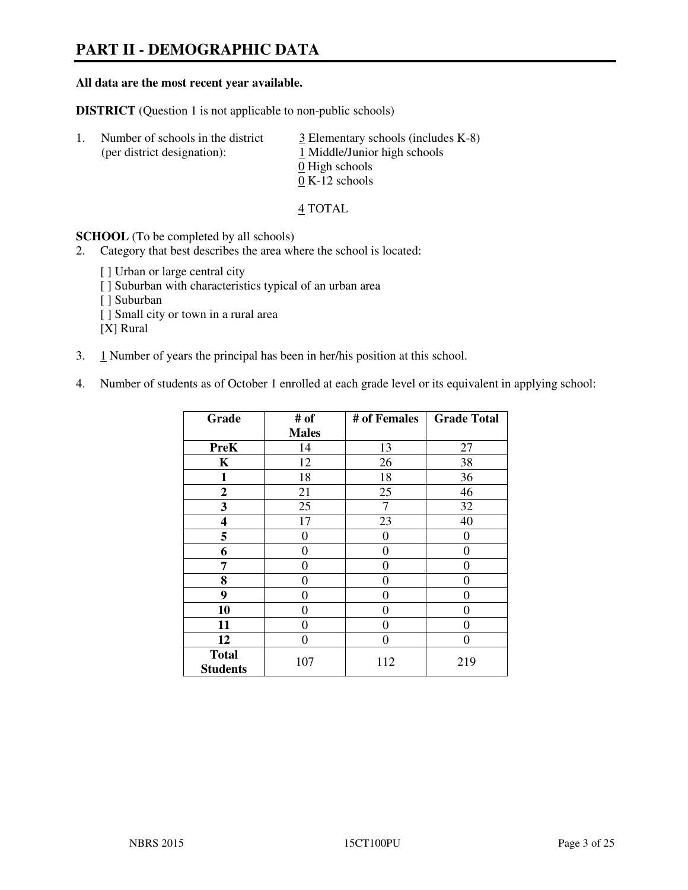# **PART II - DEMOGRAPHIC DATA**

#### **All data are the most recent year available.**

**DISTRICT** (Question 1 is not applicable to non-public schools)

| -1. | Number of schools in the district<br>(per district designation): | $\frac{3}{2}$ Elementary schools (includes K-8)<br>1 Middle/Junior high schools<br>0 High schools<br>$0 K-12$ schools |
|-----|------------------------------------------------------------------|-----------------------------------------------------------------------------------------------------------------------|
|     |                                                                  |                                                                                                                       |

4 TOTAL

**SCHOOL** (To be completed by all schools)

2. Category that best describes the area where the school is located:

[ ] Urban or large central city [ ] Suburban with characteristics typical of an urban area [ ] Suburban [ ] Small city or town in a rural area [X] Rural

- 3. 1 Number of years the principal has been in her/his position at this school.
- 4. Number of students as of October 1 enrolled at each grade level or its equivalent in applying school:

| Grade                           | # of         | # of Females | <b>Grade Total</b> |
|---------------------------------|--------------|--------------|--------------------|
|                                 | <b>Males</b> |              |                    |
| <b>PreK</b>                     | 14           | 13           | 27                 |
| K                               | 12           | 26           | 38                 |
| 1                               | 18           | 18           | 36                 |
| $\boldsymbol{2}$                | 21           | 25           | 46                 |
| 3                               | 25           | 7            | 32                 |
| 4                               | 17           | 23           | 40                 |
| 5                               | $\theta$     | $\theta$     | 0                  |
| 6                               | $\theta$     | $\Omega$     | 0                  |
| 7                               | 0            | $\Omega$     | 0                  |
| 8                               | 0            | 0            | 0                  |
| 9                               | 0            | 0            | 0                  |
| 10                              | 0            | 0            | 0                  |
| 11                              | 0            | 0            | 0                  |
| 12                              | 0            | 0            | 0                  |
| <b>Total</b><br><b>Students</b> | 107          | 112          | 219                |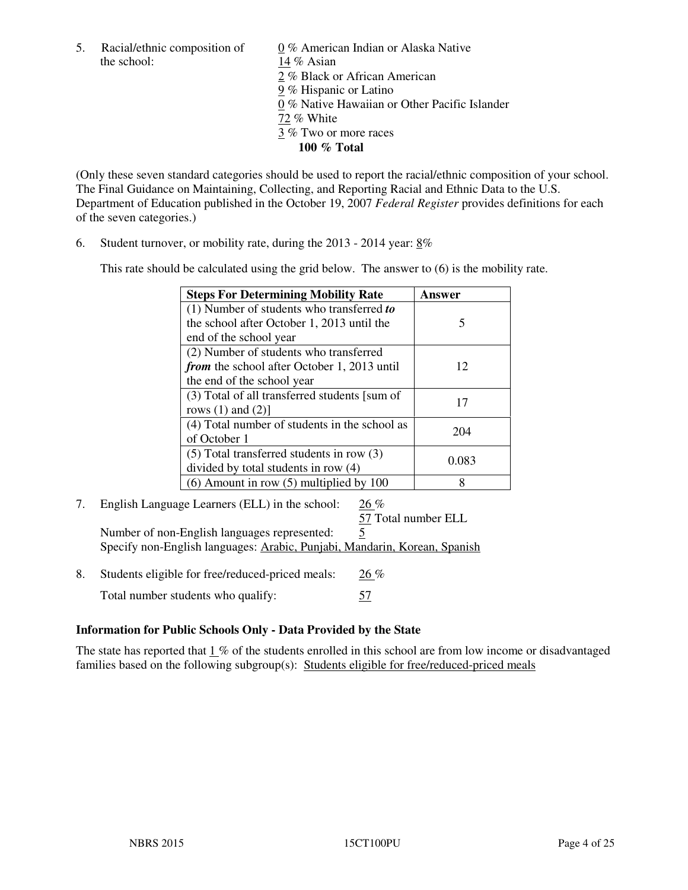the school: 14 % Asian

5. Racial/ethnic composition of  $0\%$  American Indian or Alaska Native 2 % Black or African American 9 % Hispanic or Latino 0 % Native Hawaiian or Other Pacific Islander 72 % White 3 % Two or more races **100 % Total** 

(Only these seven standard categories should be used to report the racial/ethnic composition of your school. The Final Guidance on Maintaining, Collecting, and Reporting Racial and Ethnic Data to the U.S. Department of Education published in the October 19, 2007 *Federal Register* provides definitions for each of the seven categories.)

6. Student turnover, or mobility rate, during the 2013 - 2014 year: 8%

This rate should be calculated using the grid below. The answer to (6) is the mobility rate.

| <b>Steps For Determining Mobility Rate</b>         | Answer |
|----------------------------------------------------|--------|
| $(1)$ Number of students who transferred to        |        |
| the school after October 1, 2013 until the         | 5      |
| end of the school year                             |        |
| (2) Number of students who transferred             |        |
| <i>from</i> the school after October 1, 2013 until | 12     |
| the end of the school year                         |        |
| (3) Total of all transferred students [sum of      | 17     |
| rows $(1)$ and $(2)$ ]                             |        |
| (4) Total number of students in the school as      | 204    |
| of October 1                                       |        |
| $(5)$ Total transferred students in row $(3)$      | 0.083  |
| divided by total students in row (4)               |        |
| $(6)$ Amount in row $(5)$ multiplied by 100        | 8      |

7. English Language Learners (ELL) in the school: 26 %

 57 Total number ELL Number of non-English languages represented: 5 Specify non-English languages: Arabic, Punjabi, Mandarin, Korean, Spanish

8. Students eligible for free/reduced-priced meals:  $26\%$ Total number students who qualify: 57

# **Information for Public Schools Only - Data Provided by the State**

The state has reported that 1 % of the students enrolled in this school are from low income or disadvantaged families based on the following subgroup(s): Students eligible for free/reduced-priced meals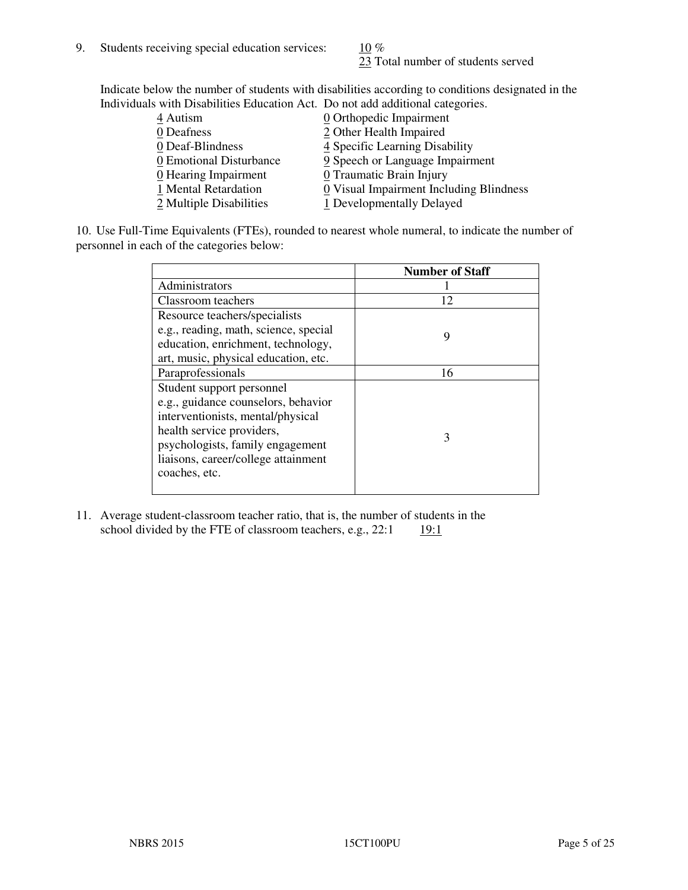23 Total number of students served

Indicate below the number of students with disabilities according to conditions designated in the Individuals with Disabilities Education Act. Do not add additional categories.

| 4 Autism                           | $\underline{0}$ Orthopedic Impairment   |
|------------------------------------|-----------------------------------------|
| 0 Deafness                         | 2 Other Health Impaired                 |
| 0 Deaf-Blindness                   | 4 Specific Learning Disability          |
| 0 Emotional Disturbance            | 9 Speech or Language Impairment         |
| $\underline{0}$ Hearing Impairment | 0 Traumatic Brain Injury                |
| 1 Mental Retardation               | 0 Visual Impairment Including Blindness |
| 2 Multiple Disabilities            | 1 Developmentally Delayed               |
|                                    |                                         |

10. Use Full-Time Equivalents (FTEs), rounded to nearest whole numeral, to indicate the number of personnel in each of the categories below:

|                                       | <b>Number of Staff</b> |
|---------------------------------------|------------------------|
| Administrators                        |                        |
| Classroom teachers                    | 12                     |
| Resource teachers/specialists         |                        |
| e.g., reading, math, science, special | 9                      |
| education, enrichment, technology,    |                        |
| art, music, physical education, etc.  |                        |
| Paraprofessionals                     | 16                     |
| Student support personnel             |                        |
| e.g., guidance counselors, behavior   |                        |
| interventionists, mental/physical     |                        |
| health service providers,             | 3                      |
| psychologists, family engagement      |                        |
| liaisons, career/college attainment   |                        |
| coaches, etc.                         |                        |
|                                       |                        |

11. Average student-classroom teacher ratio, that is, the number of students in the school divided by the FTE of classroom teachers, e.g.,  $22:1$  19:1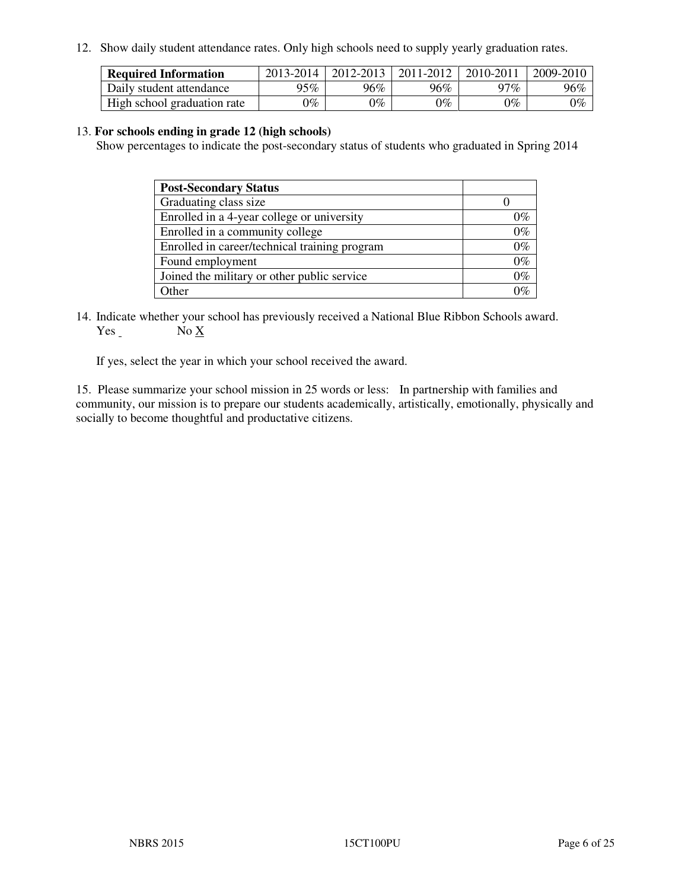12. Show daily student attendance rates. Only high schools need to supply yearly graduation rates.

| <b>Required Information</b> | 2013-2014     | 2012-2013       | 2011-2012 | 2010-2011 | 2009-2010 |
|-----------------------------|---------------|-----------------|-----------|-----------|-----------|
| Daily student attendance    | 95%           | $96\%$          | 96%       | $17\%$    | 96%       |
| High school graduation rate | $\gamma_{\%}$ | $\mathcal{V}_o$ | $0\%$     | 0%        | 0%        |

#### 13. **For schools ending in grade 12 (high schools)**

Show percentages to indicate the post-secondary status of students who graduated in Spring 2014

| <b>Post-Secondary Status</b>                  |       |
|-----------------------------------------------|-------|
| Graduating class size                         |       |
| Enrolled in a 4-year college or university    | በ‰    |
| Enrolled in a community college               | $0\%$ |
| Enrolled in career/technical training program | $0\%$ |
| Found employment                              | $0\%$ |
| Joined the military or other public service   | 0%    |
| Other                                         |       |

14. Indicate whether your school has previously received a National Blue Ribbon Schools award. Yes No X

If yes, select the year in which your school received the award.

15. Please summarize your school mission in 25 words or less: In partnership with families and community, our mission is to prepare our students academically, artistically, emotionally, physically and socially to become thoughtful and productative citizens.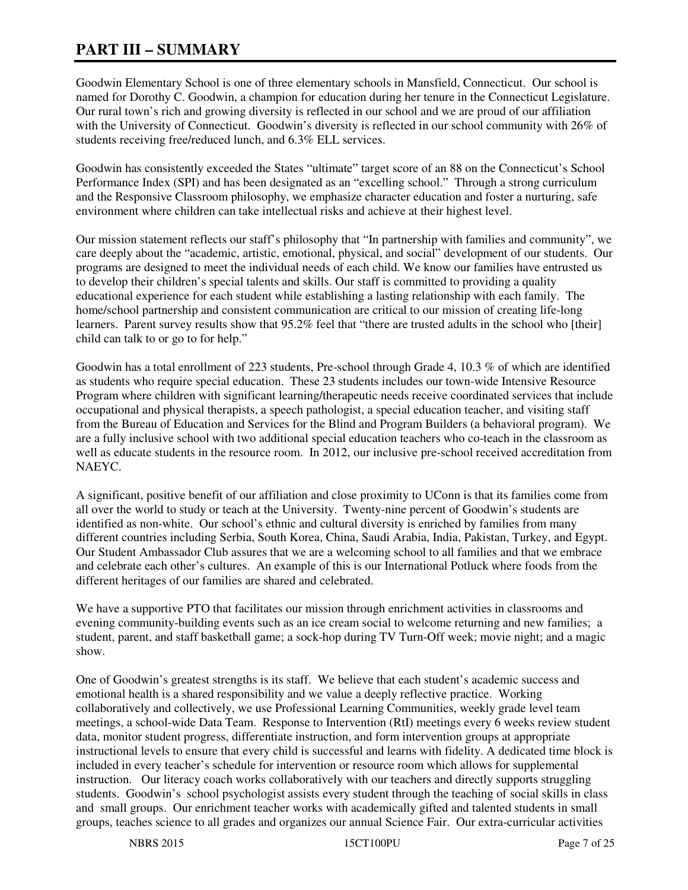# **PART III – SUMMARY**

Goodwin Elementary School is one of three elementary schools in Mansfield, Connecticut. Our school is named for Dorothy C. Goodwin, a champion for education during her tenure in the Connecticut Legislature. Our rural town's rich and growing diversity is reflected in our school and we are proud of our affiliation with the University of Connecticut. Goodwin's diversity is reflected in our school community with 26% of students receiving free/reduced lunch, and 6.3% ELL services.

Goodwin has consistently exceeded the States "ultimate" target score of an 88 on the Connecticut's School Performance Index (SPI) and has been designated as an "excelling school." Through a strong curriculum and the Responsive Classroom philosophy, we emphasize character education and foster a nurturing, safe environment where children can take intellectual risks and achieve at their highest level.

Our mission statement reflects our staff's philosophy that "In partnership with families and community", we care deeply about the "academic, artistic, emotional, physical, and social" development of our students. Our programs are designed to meet the individual needs of each child. We know our families have entrusted us to develop their children's special talents and skills. Our staff is committed to providing a quality educational experience for each student while establishing a lasting relationship with each family. The home/school partnership and consistent communication are critical to our mission of creating life-long learners. Parent survey results show that 95.2% feel that "there are trusted adults in the school who [their] child can talk to or go to for help."

Goodwin has a total enrollment of 223 students, Pre-school through Grade 4, 10.3 % of which are identified as students who require special education. These 23 students includes our town-wide Intensive Resource Program where children with significant learning/therapeutic needs receive coordinated services that include occupational and physical therapists, a speech pathologist, a special education teacher, and visiting staff from the Bureau of Education and Services for the Blind and Program Builders (a behavioral program). We are a fully inclusive school with two additional special education teachers who co-teach in the classroom as well as educate students in the resource room. In 2012, our inclusive pre-school received accreditation from NAEYC.

A significant, positive benefit of our affiliation and close proximity to UConn is that its families come from all over the world to study or teach at the University. Twenty-nine percent of Goodwin's students are identified as non-white. Our school's ethnic and cultural diversity is enriched by families from many different countries including Serbia, South Korea, China, Saudi Arabia, India, Pakistan, Turkey, and Egypt. Our Student Ambassador Club assures that we are a welcoming school to all families and that we embrace and celebrate each other's cultures. An example of this is our International Potluck where foods from the different heritages of our families are shared and celebrated.

We have a supportive PTO that facilitates our mission through enrichment activities in classrooms and evening community-building events such as an ice cream social to welcome returning and new families; a student, parent, and staff basketball game; a sock-hop during TV Turn-Off week; movie night; and a magic show.

One of Goodwin's greatest strengths is its staff. We believe that each student's academic success and emotional health is a shared responsibility and we value a deeply reflective practice. Working collaboratively and collectively, we use Professional Learning Communities, weekly grade level team meetings, a school-wide Data Team. Response to Intervention (RtI) meetings every 6 weeks review student data, monitor student progress, differentiate instruction, and form intervention groups at appropriate instructional levels to ensure that every child is successful and learns with fidelity. A dedicated time block is included in every teacher's schedule for intervention or resource room which allows for supplemental instruction. Our literacy coach works collaboratively with our teachers and directly supports struggling students. Goodwin's school psychologist assists every student through the teaching of social skills in class and small groups. Our enrichment teacher works with academically gifted and talented students in small groups, teaches science to all grades and organizes our annual Science Fair. Our extra-curricular activities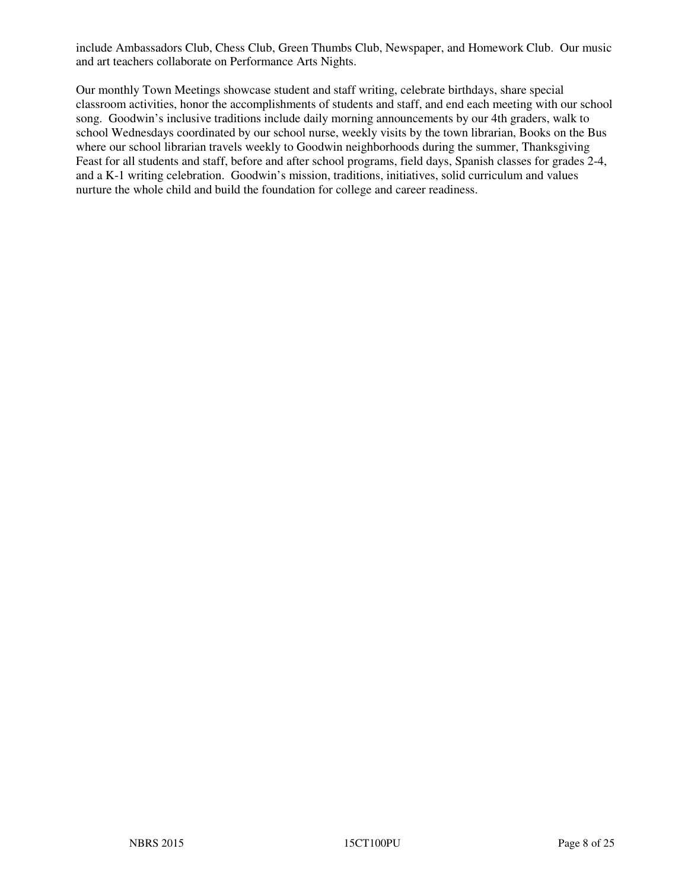include Ambassadors Club, Chess Club, Green Thumbs Club, Newspaper, and Homework Club. Our music and art teachers collaborate on Performance Arts Nights.

Our monthly Town Meetings showcase student and staff writing, celebrate birthdays, share special classroom activities, honor the accomplishments of students and staff, and end each meeting with our school song. Goodwin's inclusive traditions include daily morning announcements by our 4th graders, walk to school Wednesdays coordinated by our school nurse, weekly visits by the town librarian, Books on the Bus where our school librarian travels weekly to Goodwin neighborhoods during the summer, Thanksgiving Feast for all students and staff, before and after school programs, field days, Spanish classes for grades 2-4, and a K-1 writing celebration. Goodwin's mission, traditions, initiatives, solid curriculum and values nurture the whole child and build the foundation for college and career readiness.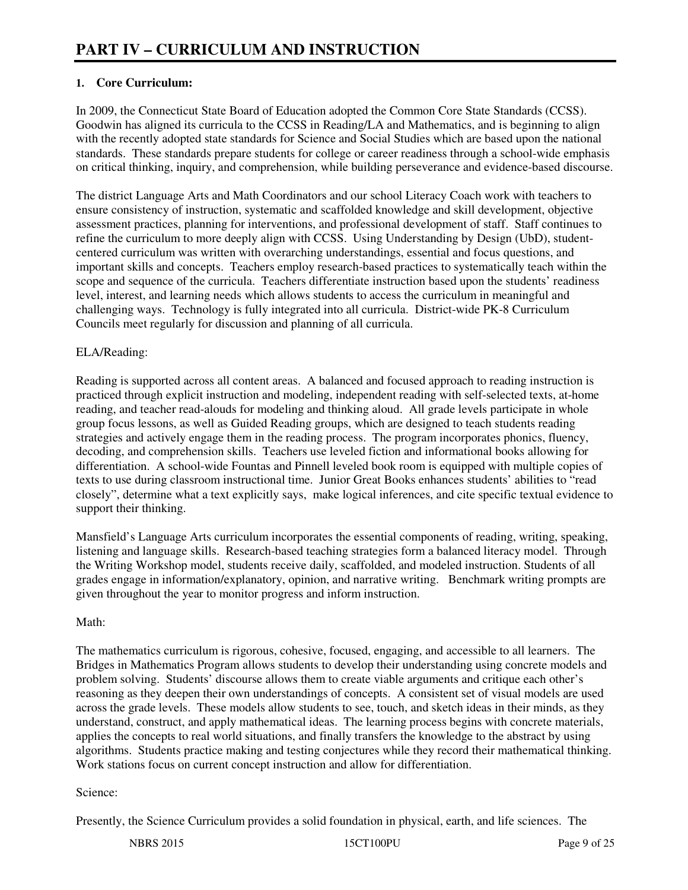# **1. Core Curriculum:**

In 2009, the Connecticut State Board of Education adopted the Common Core State Standards (CCSS). Goodwin has aligned its curricula to the CCSS in Reading/LA and Mathematics, and is beginning to align with the recently adopted state standards for Science and Social Studies which are based upon the national standards. These standards prepare students for college or career readiness through a school-wide emphasis on critical thinking, inquiry, and comprehension, while building perseverance and evidence-based discourse.

The district Language Arts and Math Coordinators and our school Literacy Coach work with teachers to ensure consistency of instruction, systematic and scaffolded knowledge and skill development, objective assessment practices, planning for interventions, and professional development of staff. Staff continues to refine the curriculum to more deeply align with CCSS. Using Understanding by Design (UbD), studentcentered curriculum was written with overarching understandings, essential and focus questions, and important skills and concepts. Teachers employ research-based practices to systematically teach within the scope and sequence of the curricula. Teachers differentiate instruction based upon the students' readiness level, interest, and learning needs which allows students to access the curriculum in meaningful and challenging ways. Technology is fully integrated into all curricula. District-wide PK-8 Curriculum Councils meet regularly for discussion and planning of all curricula.

### ELA/Reading:

Reading is supported across all content areas. A balanced and focused approach to reading instruction is practiced through explicit instruction and modeling, independent reading with self-selected texts, at-home reading, and teacher read-alouds for modeling and thinking aloud. All grade levels participate in whole group focus lessons, as well as Guided Reading groups, which are designed to teach students reading strategies and actively engage them in the reading process. The program incorporates phonics, fluency, decoding, and comprehension skills. Teachers use leveled fiction and informational books allowing for differentiation. A school-wide Fountas and Pinnell leveled book room is equipped with multiple copies of texts to use during classroom instructional time. Junior Great Books enhances students' abilities to "read closely", determine what a text explicitly says, make logical inferences, and cite specific textual evidence to support their thinking.

Mansfield's Language Arts curriculum incorporates the essential components of reading, writing, speaking, listening and language skills. Research-based teaching strategies form a balanced literacy model. Through the Writing Workshop model, students receive daily, scaffolded, and modeled instruction. Students of all grades engage in information/explanatory, opinion, and narrative writing. Benchmark writing prompts are given throughout the year to monitor progress and inform instruction.

#### Math:

The mathematics curriculum is rigorous, cohesive, focused, engaging, and accessible to all learners. The Bridges in Mathematics Program allows students to develop their understanding using concrete models and problem solving. Students' discourse allows them to create viable arguments and critique each other's reasoning as they deepen their own understandings of concepts. A consistent set of visual models are used across the grade levels. These models allow students to see, touch, and sketch ideas in their minds, as they understand, construct, and apply mathematical ideas. The learning process begins with concrete materials, applies the concepts to real world situations, and finally transfers the knowledge to the abstract by using algorithms. Students practice making and testing conjectures while they record their mathematical thinking. Work stations focus on current concept instruction and allow for differentiation.

#### Science:

Presently, the Science Curriculum provides a solid foundation in physical, earth, and life sciences. The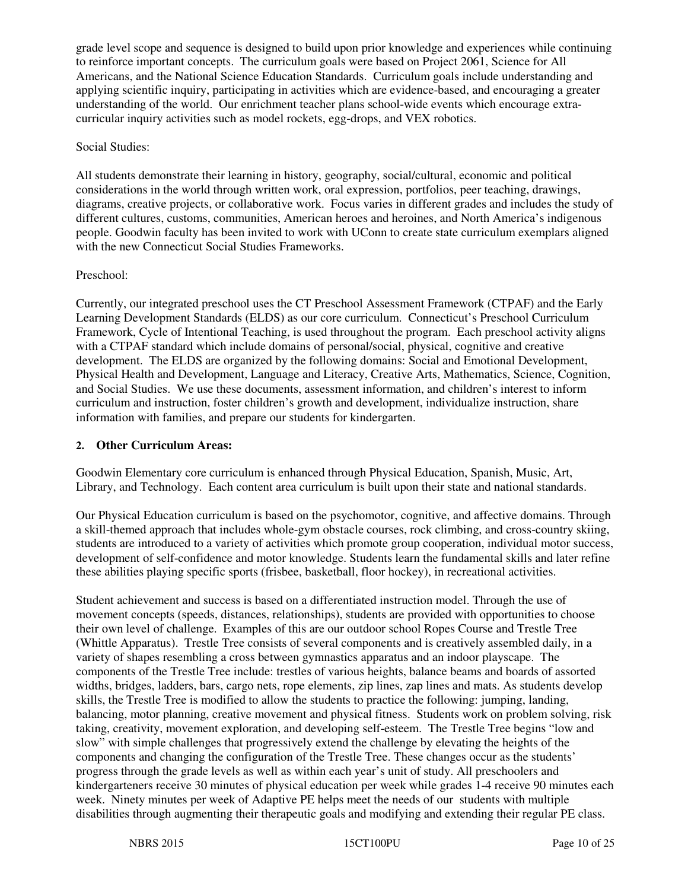grade level scope and sequence is designed to build upon prior knowledge and experiences while continuing to reinforce important concepts. The curriculum goals were based on Project 2061, Science for All Americans, and the National Science Education Standards. Curriculum goals include understanding and applying scientific inquiry, participating in activities which are evidence-based, and encouraging a greater understanding of the world. Our enrichment teacher plans school-wide events which encourage extracurricular inquiry activities such as model rockets, egg-drops, and VEX robotics.

#### Social Studies:

All students demonstrate their learning in history, geography, social/cultural, economic and political considerations in the world through written work, oral expression, portfolios, peer teaching, drawings, diagrams, creative projects, or collaborative work. Focus varies in different grades and includes the study of different cultures, customs, communities, American heroes and heroines, and North America's indigenous people. Goodwin faculty has been invited to work with UConn to create state curriculum exemplars aligned with the new Connecticut Social Studies Frameworks.

### Preschool:

Currently, our integrated preschool uses the CT Preschool Assessment Framework (CTPAF) and the Early Learning Development Standards (ELDS) as our core curriculum. Connecticut's Preschool Curriculum Framework, Cycle of Intentional Teaching, is used throughout the program. Each preschool activity aligns with a CTPAF standard which include domains of personal/social, physical, cognitive and creative development. The ELDS are organized by the following domains: Social and Emotional Development, Physical Health and Development, Language and Literacy, Creative Arts, Mathematics, Science, Cognition, and Social Studies. We use these documents, assessment information, and children's interest to inform curriculum and instruction, foster children's growth and development, individualize instruction, share information with families, and prepare our students for kindergarten.

## **2. Other Curriculum Areas:**

Goodwin Elementary core curriculum is enhanced through Physical Education, Spanish, Music, Art, Library, and Technology. Each content area curriculum is built upon their state and national standards.

Our Physical Education curriculum is based on the psychomotor, cognitive, and affective domains. Through a skill-themed approach that includes whole-gym obstacle courses, rock climbing, and cross-country skiing, students are introduced to a variety of activities which promote group cooperation, individual motor success, development of self-confidence and motor knowledge. Students learn the fundamental skills and later refine these abilities playing specific sports (frisbee, basketball, floor hockey), in recreational activities.

Student achievement and success is based on a differentiated instruction model. Through the use of movement concepts (speeds, distances, relationships), students are provided with opportunities to choose their own level of challenge. Examples of this are our outdoor school Ropes Course and Trestle Tree (Whittle Apparatus). Trestle Tree consists of several components and is creatively assembled daily, in a variety of shapes resembling a cross between gymnastics apparatus and an indoor playscape. The components of the Trestle Tree include: trestles of various heights, balance beams and boards of assorted widths, bridges, ladders, bars, cargo nets, rope elements, zip lines, zap lines and mats. As students develop skills, the Trestle Tree is modified to allow the students to practice the following: jumping, landing, balancing, motor planning, creative movement and physical fitness. Students work on problem solving, risk taking, creativity, movement exploration, and developing self-esteem. The Trestle Tree begins "low and slow" with simple challenges that progressively extend the challenge by elevating the heights of the components and changing the configuration of the Trestle Tree. These changes occur as the students' progress through the grade levels as well as within each year's unit of study. All preschoolers and kindergarteners receive 30 minutes of physical education per week while grades 1-4 receive 90 minutes each week. Ninety minutes per week of Adaptive PE helps meet the needs of our students with multiple disabilities through augmenting their therapeutic goals and modifying and extending their regular PE class.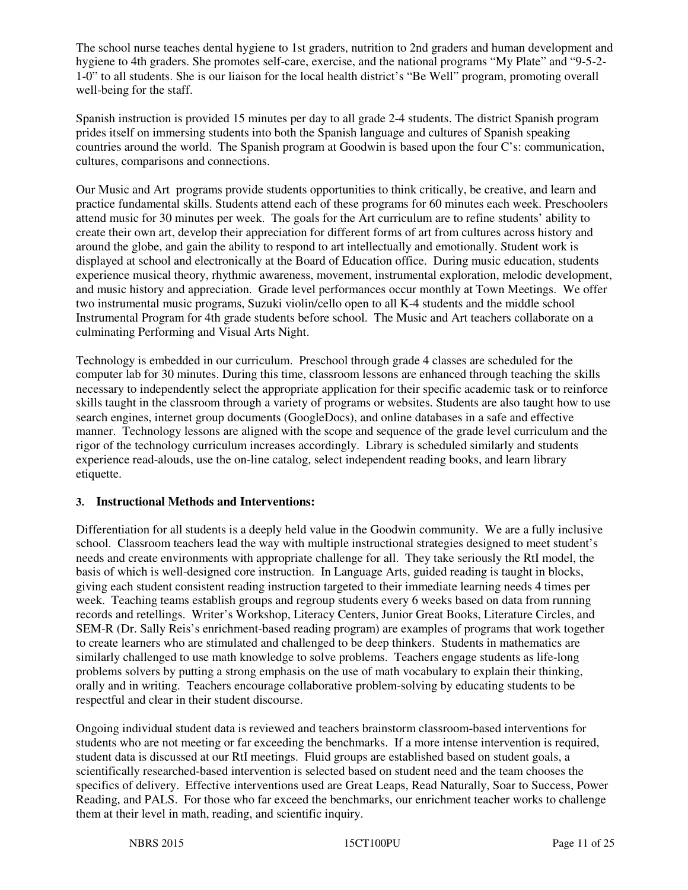The school nurse teaches dental hygiene to 1st graders, nutrition to 2nd graders and human development and hygiene to 4th graders. She promotes self-care, exercise, and the national programs "My Plate" and "9-5-2- 1-0" to all students. She is our liaison for the local health district's "Be Well" program, promoting overall well-being for the staff.

Spanish instruction is provided 15 minutes per day to all grade 2-4 students. The district Spanish program prides itself on immersing students into both the Spanish language and cultures of Spanish speaking countries around the world. The Spanish program at Goodwin is based upon the four C's: communication, cultures, comparisons and connections.

Our Music and Art programs provide students opportunities to think critically, be creative, and learn and practice fundamental skills. Students attend each of these programs for 60 minutes each week. Preschoolers attend music for 30 minutes per week. The goals for the Art curriculum are to refine students' ability to create their own art, develop their appreciation for different forms of art from cultures across history and around the globe, and gain the ability to respond to art intellectually and emotionally. Student work is displayed at school and electronically at the Board of Education office. During music education, students experience musical theory, rhythmic awareness, movement, instrumental exploration, melodic development, and music history and appreciation. Grade level performances occur monthly at Town Meetings. We offer two instrumental music programs, Suzuki violin/cello open to all K-4 students and the middle school Instrumental Program for 4th grade students before school. The Music and Art teachers collaborate on a culminating Performing and Visual Arts Night.

Technology is embedded in our curriculum. Preschool through grade 4 classes are scheduled for the computer lab for 30 minutes. During this time, classroom lessons are enhanced through teaching the skills necessary to independently select the appropriate application for their specific academic task or to reinforce skills taught in the classroom through a variety of programs or websites. Students are also taught how to use search engines, internet group documents (GoogleDocs), and online databases in a safe and effective manner. Technology lessons are aligned with the scope and sequence of the grade level curriculum and the rigor of the technology curriculum increases accordingly. Library is scheduled similarly and students experience read-alouds, use the on-line catalog, select independent reading books, and learn library etiquette.

# **3. Instructional Methods and Interventions:**

Differentiation for all students is a deeply held value in the Goodwin community. We are a fully inclusive school. Classroom teachers lead the way with multiple instructional strategies designed to meet student's needs and create environments with appropriate challenge for all. They take seriously the RtI model, the basis of which is well-designed core instruction. In Language Arts, guided reading is taught in blocks, giving each student consistent reading instruction targeted to their immediate learning needs 4 times per week. Teaching teams establish groups and regroup students every 6 weeks based on data from running records and retellings. Writer's Workshop, Literacy Centers, Junior Great Books, Literature Circles, and SEM-R (Dr. Sally Reis's enrichment-based reading program) are examples of programs that work together to create learners who are stimulated and challenged to be deep thinkers. Students in mathematics are similarly challenged to use math knowledge to solve problems. Teachers engage students as life-long problems solvers by putting a strong emphasis on the use of math vocabulary to explain their thinking, orally and in writing. Teachers encourage collaborative problem-solving by educating students to be respectful and clear in their student discourse.

Ongoing individual student data is reviewed and teachers brainstorm classroom-based interventions for students who are not meeting or far exceeding the benchmarks. If a more intense intervention is required, student data is discussed at our RtI meetings. Fluid groups are established based on student goals, a scientifically researched-based intervention is selected based on student need and the team chooses the specifics of delivery. Effective interventions used are Great Leaps, Read Naturally, Soar to Success, Power Reading, and PALS. For those who far exceed the benchmarks, our enrichment teacher works to challenge them at their level in math, reading, and scientific inquiry.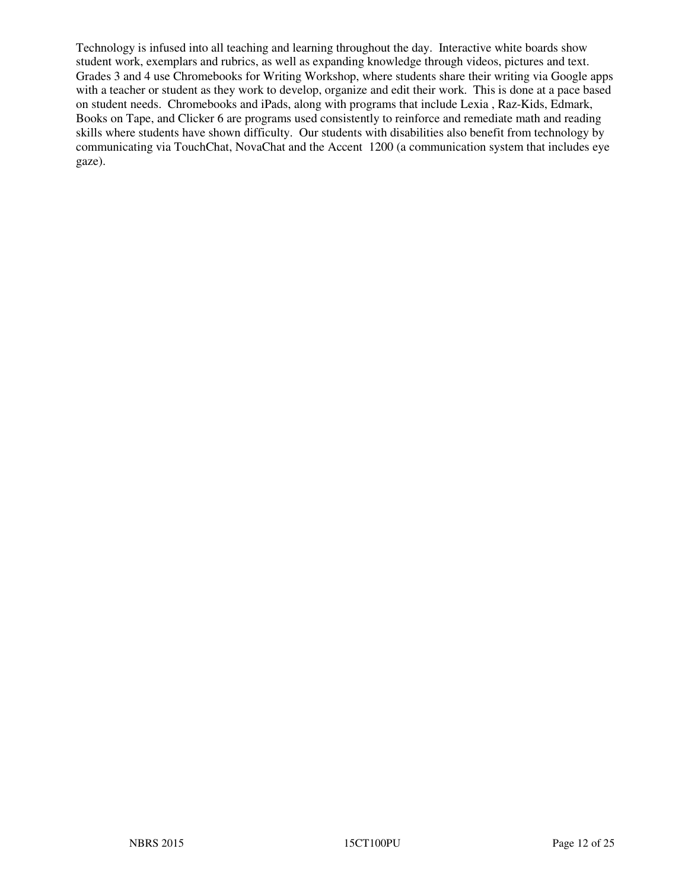Technology is infused into all teaching and learning throughout the day. Interactive white boards show student work, exemplars and rubrics, as well as expanding knowledge through videos, pictures and text. Grades 3 and 4 use Chromebooks for Writing Workshop, where students share their writing via Google apps with a teacher or student as they work to develop, organize and edit their work. This is done at a pace based on student needs. Chromebooks and iPads, along with programs that include Lexia , Raz-Kids, Edmark, Books on Tape, and Clicker 6 are programs used consistently to reinforce and remediate math and reading skills where students have shown difficulty. Our students with disabilities also benefit from technology by communicating via TouchChat, NovaChat and the Accent 1200 (a communication system that includes eye gaze).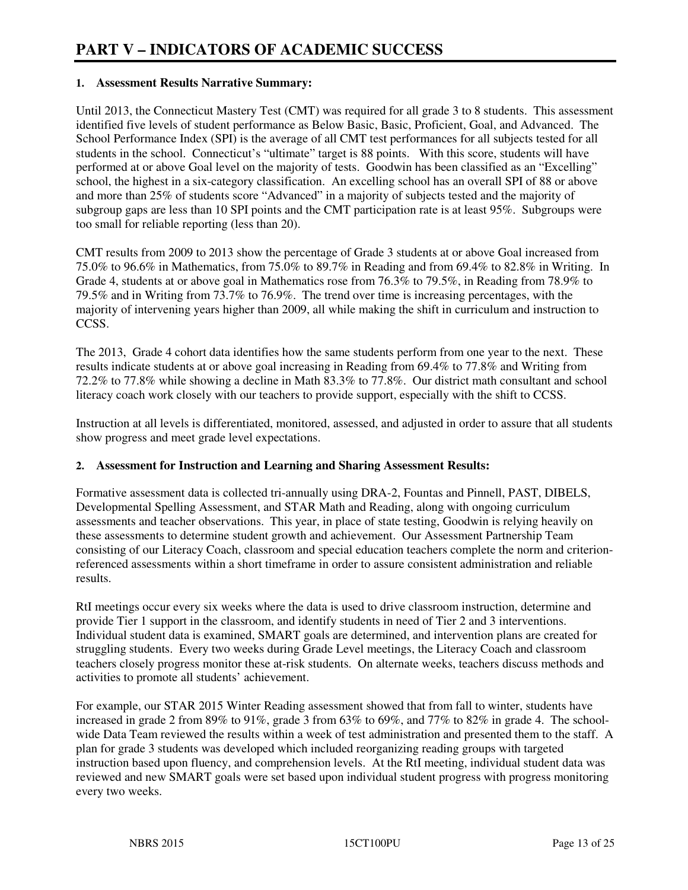## **1. Assessment Results Narrative Summary:**

Until 2013, the Connecticut Mastery Test (CMT) was required for all grade 3 to 8 students. This assessment identified five levels of student performance as Below Basic, Basic, Proficient, Goal, and Advanced. The School Performance Index (SPI) is the average of all CMT test performances for all subjects tested for all students in the school. Connecticut's "ultimate" target is 88 points. With this score, students will have performed at or above Goal level on the majority of tests. Goodwin has been classified as an "Excelling" school, the highest in a six-category classification. An excelling school has an overall SPI of 88 or above and more than 25% of students score "Advanced" in a majority of subjects tested and the majority of subgroup gaps are less than 10 SPI points and the CMT participation rate is at least 95%. Subgroups were too small for reliable reporting (less than 20).

CMT results from 2009 to 2013 show the percentage of Grade 3 students at or above Goal increased from 75.0% to 96.6% in Mathematics, from 75.0% to 89.7% in Reading and from 69.4% to 82.8% in Writing. In Grade 4, students at or above goal in Mathematics rose from 76.3% to 79.5%, in Reading from 78.9% to 79.5% and in Writing from 73.7% to 76.9%. The trend over time is increasing percentages, with the majority of intervening years higher than 2009, all while making the shift in curriculum and instruction to CCSS.

The 2013, Grade 4 cohort data identifies how the same students perform from one year to the next. These results indicate students at or above goal increasing in Reading from 69.4% to 77.8% and Writing from 72.2% to 77.8% while showing a decline in Math 83.3% to 77.8%. Our district math consultant and school literacy coach work closely with our teachers to provide support, especially with the shift to CCSS.

Instruction at all levels is differentiated, monitored, assessed, and adjusted in order to assure that all students show progress and meet grade level expectations.

#### **2. Assessment for Instruction and Learning and Sharing Assessment Results:**

Formative assessment data is collected tri-annually using DRA-2, Fountas and Pinnell, PAST, DIBELS, Developmental Spelling Assessment, and STAR Math and Reading, along with ongoing curriculum assessments and teacher observations. This year, in place of state testing, Goodwin is relying heavily on these assessments to determine student growth and achievement. Our Assessment Partnership Team consisting of our Literacy Coach, classroom and special education teachers complete the norm and criterionreferenced assessments within a short timeframe in order to assure consistent administration and reliable results.

RtI meetings occur every six weeks where the data is used to drive classroom instruction, determine and provide Tier 1 support in the classroom, and identify students in need of Tier 2 and 3 interventions. Individual student data is examined, SMART goals are determined, and intervention plans are created for struggling students. Every two weeks during Grade Level meetings, the Literacy Coach and classroom teachers closely progress monitor these at-risk students. On alternate weeks, teachers discuss methods and activities to promote all students' achievement.

For example, our STAR 2015 Winter Reading assessment showed that from fall to winter, students have increased in grade 2 from 89% to 91%, grade 3 from  $63\%$  to  $69\%$ , and  $77\%$  to  $82\%$  in grade 4. The schoolwide Data Team reviewed the results within a week of test administration and presented them to the staff. A plan for grade 3 students was developed which included reorganizing reading groups with targeted instruction based upon fluency, and comprehension levels. At the RtI meeting, individual student data was reviewed and new SMART goals were set based upon individual student progress with progress monitoring every two weeks.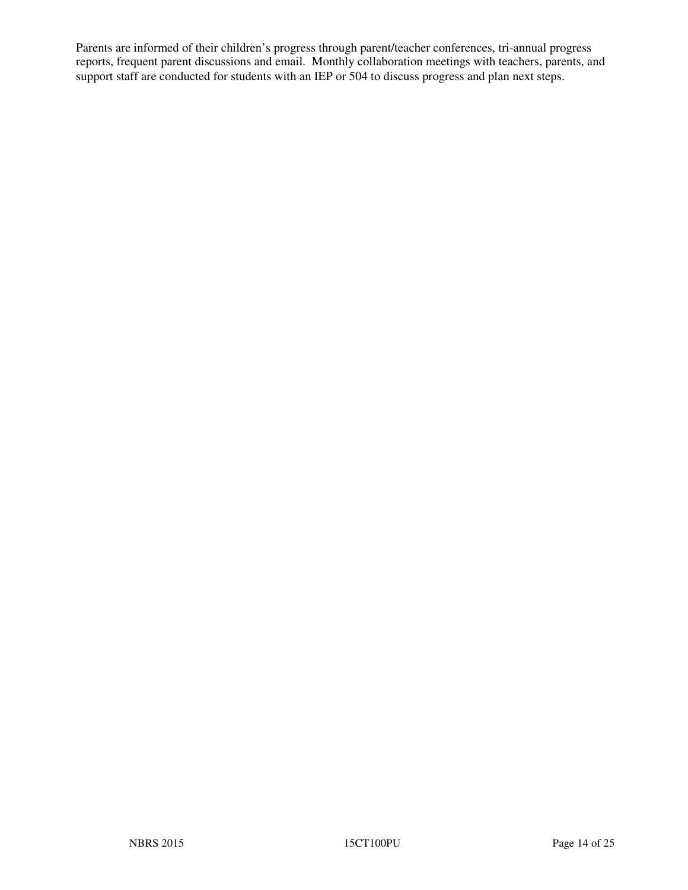Parents are informed of their children's progress through parent/teacher conferences, tri-annual progress reports, frequent parent discussions and email. Monthly collaboration meetings with teachers, parents, and support staff are conducted for students with an IEP or 504 to discuss progress and plan next steps.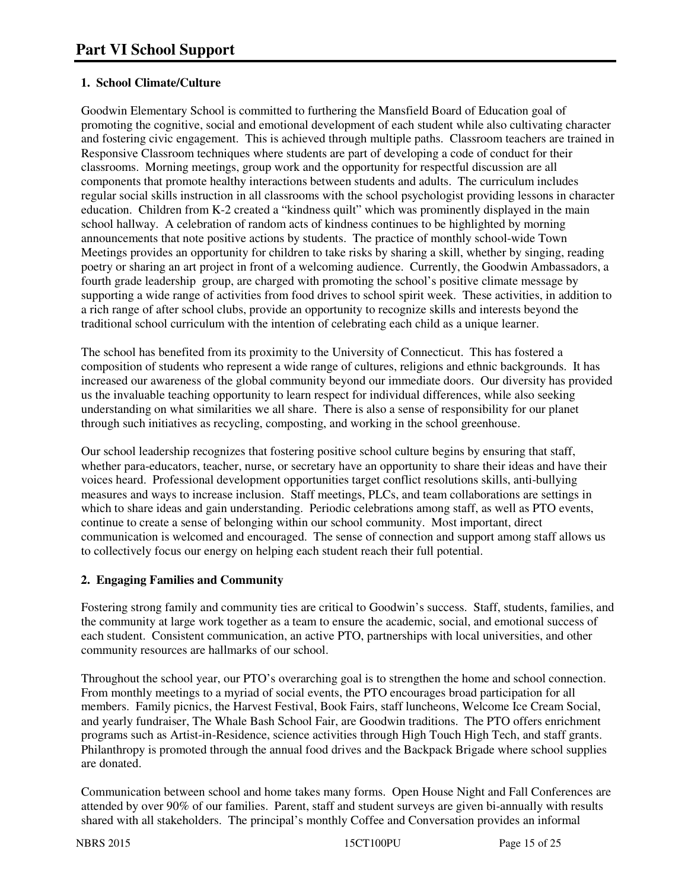# **1. School Climate/Culture**

Goodwin Elementary School is committed to furthering the Mansfield Board of Education goal of promoting the cognitive, social and emotional development of each student while also cultivating character and fostering civic engagement. This is achieved through multiple paths. Classroom teachers are trained in Responsive Classroom techniques where students are part of developing a code of conduct for their classrooms. Morning meetings, group work and the opportunity for respectful discussion are all components that promote healthy interactions between students and adults. The curriculum includes regular social skills instruction in all classrooms with the school psychologist providing lessons in character education. Children from K-2 created a "kindness quilt" which was prominently displayed in the main school hallway. A celebration of random acts of kindness continues to be highlighted by morning announcements that note positive actions by students. The practice of monthly school-wide Town Meetings provides an opportunity for children to take risks by sharing a skill, whether by singing, reading poetry or sharing an art project in front of a welcoming audience. Currently, the Goodwin Ambassadors, a fourth grade leadership group, are charged with promoting the school's positive climate message by supporting a wide range of activities from food drives to school spirit week. These activities, in addition to a rich range of after school clubs, provide an opportunity to recognize skills and interests beyond the traditional school curriculum with the intention of celebrating each child as a unique learner.

The school has benefited from its proximity to the University of Connecticut. This has fostered a composition of students who represent a wide range of cultures, religions and ethnic backgrounds. It has increased our awareness of the global community beyond our immediate doors. Our diversity has provided us the invaluable teaching opportunity to learn respect for individual differences, while also seeking understanding on what similarities we all share. There is also a sense of responsibility for our planet through such initiatives as recycling, composting, and working in the school greenhouse.

Our school leadership recognizes that fostering positive school culture begins by ensuring that staff, whether para-educators, teacher, nurse, or secretary have an opportunity to share their ideas and have their voices heard. Professional development opportunities target conflict resolutions skills, anti-bullying measures and ways to increase inclusion. Staff meetings, PLCs, and team collaborations are settings in which to share ideas and gain understanding. Periodic celebrations among staff, as well as PTO events, continue to create a sense of belonging within our school community. Most important, direct communication is welcomed and encouraged. The sense of connection and support among staff allows us to collectively focus our energy on helping each student reach their full potential.

# **2. Engaging Families and Community**

Fostering strong family and community ties are critical to Goodwin's success. Staff, students, families, and the community at large work together as a team to ensure the academic, social, and emotional success of each student. Consistent communication, an active PTO, partnerships with local universities, and other community resources are hallmarks of our school.

Throughout the school year, our PTO's overarching goal is to strengthen the home and school connection. From monthly meetings to a myriad of social events, the PTO encourages broad participation for all members. Family picnics, the Harvest Festival, Book Fairs, staff luncheons, Welcome Ice Cream Social, and yearly fundraiser, The Whale Bash School Fair, are Goodwin traditions. The PTO offers enrichment programs such as Artist-in-Residence, science activities through High Touch High Tech, and staff grants. Philanthropy is promoted through the annual food drives and the Backpack Brigade where school supplies are donated.

Communication between school and home takes many forms. Open House Night and Fall Conferences are attended by over 90% of our families. Parent, staff and student surveys are given bi-annually with results shared with all stakeholders. The principal's monthly Coffee and Conversation provides an informal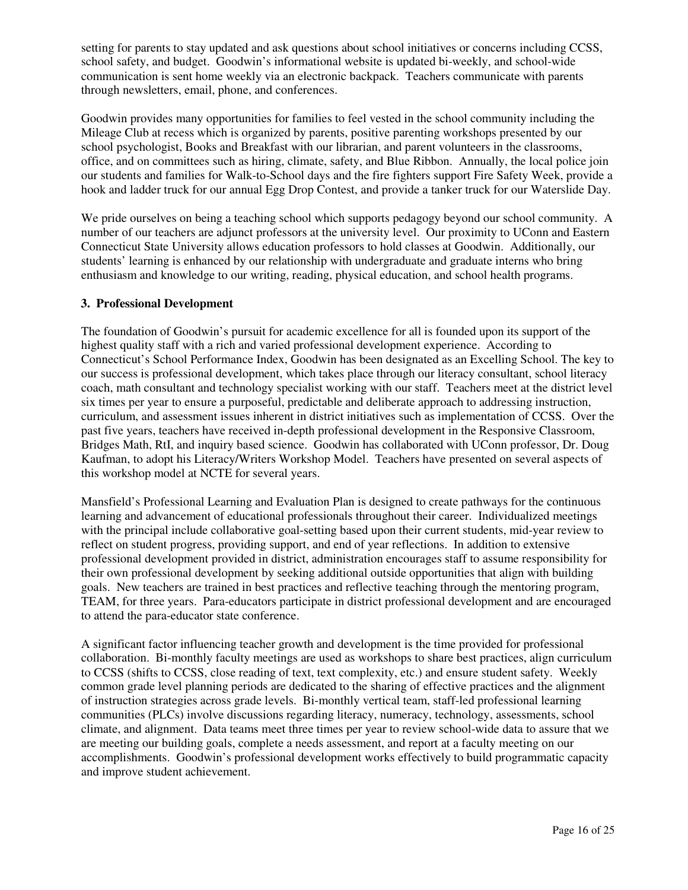setting for parents to stay updated and ask questions about school initiatives or concerns including CCSS, school safety, and budget. Goodwin's informational website is updated bi-weekly, and school-wide communication is sent home weekly via an electronic backpack. Teachers communicate with parents through newsletters, email, phone, and conferences.

Goodwin provides many opportunities for families to feel vested in the school community including the Mileage Club at recess which is organized by parents, positive parenting workshops presented by our school psychologist, Books and Breakfast with our librarian, and parent volunteers in the classrooms, office, and on committees such as hiring, climate, safety, and Blue Ribbon. Annually, the local police join our students and families for Walk-to-School days and the fire fighters support Fire Safety Week, provide a hook and ladder truck for our annual Egg Drop Contest, and provide a tanker truck for our Waterslide Day.

We pride ourselves on being a teaching school which supports pedagogy beyond our school community. A number of our teachers are adjunct professors at the university level. Our proximity to UConn and Eastern Connecticut State University allows education professors to hold classes at Goodwin. Additionally, our students' learning is enhanced by our relationship with undergraduate and graduate interns who bring enthusiasm and knowledge to our writing, reading, physical education, and school health programs.

#### **3. Professional Development**

The foundation of Goodwin's pursuit for academic excellence for all is founded upon its support of the highest quality staff with a rich and varied professional development experience. According to Connecticut's School Performance Index, Goodwin has been designated as an Excelling School. The key to our success is professional development, which takes place through our literacy consultant, school literacy coach, math consultant and technology specialist working with our staff. Teachers meet at the district level six times per year to ensure a purposeful, predictable and deliberate approach to addressing instruction, curriculum, and assessment issues inherent in district initiatives such as implementation of CCSS. Over the past five years, teachers have received in-depth professional development in the Responsive Classroom, Bridges Math, RtI, and inquiry based science. Goodwin has collaborated with UConn professor, Dr. Doug Kaufman, to adopt his Literacy/Writers Workshop Model. Teachers have presented on several aspects of this workshop model at NCTE for several years.

Mansfield's Professional Learning and Evaluation Plan is designed to create pathways for the continuous learning and advancement of educational professionals throughout their career. Individualized meetings with the principal include collaborative goal-setting based upon their current students, mid-year review to reflect on student progress, providing support, and end of year reflections. In addition to extensive professional development provided in district, administration encourages staff to assume responsibility for their own professional development by seeking additional outside opportunities that align with building goals. New teachers are trained in best practices and reflective teaching through the mentoring program, TEAM, for three years. Para-educators participate in district professional development and are encouraged to attend the para-educator state conference.

A significant factor influencing teacher growth and development is the time provided for professional collaboration. Bi-monthly faculty meetings are used as workshops to share best practices, align curriculum to CCSS (shifts to CCSS, close reading of text, text complexity, etc.) and ensure student safety. Weekly common grade level planning periods are dedicated to the sharing of effective practices and the alignment of instruction strategies across grade levels. Bi-monthly vertical team, staff-led professional learning communities (PLCs) involve discussions regarding literacy, numeracy, technology, assessments, school climate, and alignment. Data teams meet three times per year to review school-wide data to assure that we are meeting our building goals, complete a needs assessment, and report at a faculty meeting on our accomplishments. Goodwin's professional development works effectively to build programmatic capacity and improve student achievement.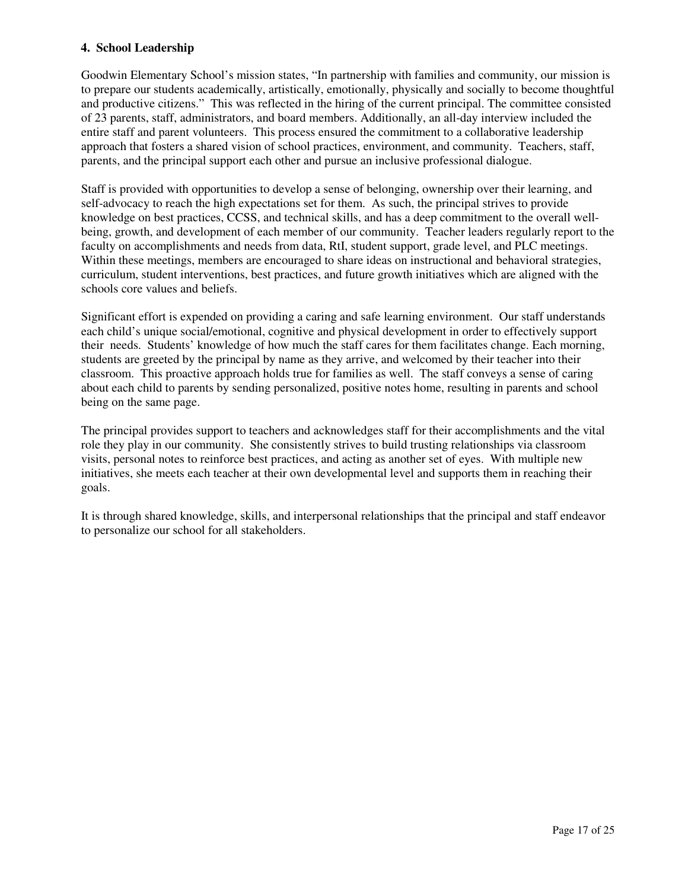#### **4. School Leadership**

Goodwin Elementary School's mission states, "In partnership with families and community, our mission is to prepare our students academically, artistically, emotionally, physically and socially to become thoughtful and productive citizens." This was reflected in the hiring of the current principal. The committee consisted of 23 parents, staff, administrators, and board members. Additionally, an all-day interview included the entire staff and parent volunteers. This process ensured the commitment to a collaborative leadership approach that fosters a shared vision of school practices, environment, and community. Teachers, staff, parents, and the principal support each other and pursue an inclusive professional dialogue.

Staff is provided with opportunities to develop a sense of belonging, ownership over their learning, and self-advocacy to reach the high expectations set for them. As such, the principal strives to provide knowledge on best practices, CCSS, and technical skills, and has a deep commitment to the overall wellbeing, growth, and development of each member of our community. Teacher leaders regularly report to the faculty on accomplishments and needs from data, RtI, student support, grade level, and PLC meetings. Within these meetings, members are encouraged to share ideas on instructional and behavioral strategies, curriculum, student interventions, best practices, and future growth initiatives which are aligned with the schools core values and beliefs.

Significant effort is expended on providing a caring and safe learning environment. Our staff understands each child's unique social/emotional, cognitive and physical development in order to effectively support their needs. Students' knowledge of how much the staff cares for them facilitates change. Each morning, students are greeted by the principal by name as they arrive, and welcomed by their teacher into their classroom. This proactive approach holds true for families as well. The staff conveys a sense of caring about each child to parents by sending personalized, positive notes home, resulting in parents and school being on the same page.

The principal provides support to teachers and acknowledges staff for their accomplishments and the vital role they play in our community. She consistently strives to build trusting relationships via classroom visits, personal notes to reinforce best practices, and acting as another set of eyes. With multiple new initiatives, she meets each teacher at their own developmental level and supports them in reaching their goals.

It is through shared knowledge, skills, and interpersonal relationships that the principal and staff endeavor to personalize our school for all stakeholders.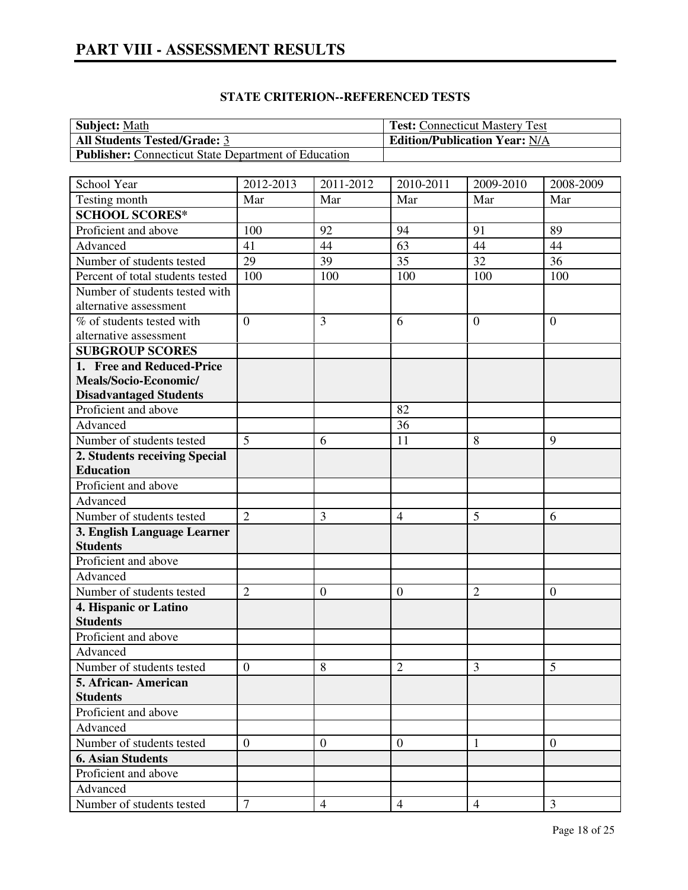| <b>Subject:</b> Math                                        | <b>Test:</b> Connecticut Mastery Test |
|-------------------------------------------------------------|---------------------------------------|
| <b>All Students Tested/Grade: 3</b>                         | <b>Edition/Publication Year: N/A</b>  |
| <b>Publisher:</b> Connecticut State Department of Education |                                       |

# **STATE CRITERION--REFERENCED TESTS**

| School Year                      | 2012-2013        | 2011-2012      | 2010-2011        | 2009-2010      | 2008-2009      |
|----------------------------------|------------------|----------------|------------------|----------------|----------------|
| Testing month                    | Mar              | Mar            | Mar              | Mar            | Mar            |
| <b>SCHOOL SCORES*</b>            |                  |                |                  |                |                |
| Proficient and above             | 100              | 92             | 94               | 91             | 89             |
| Advanced                         | 41               | 44             | 63               | 44             | 44             |
| Number of students tested        | 29               | 39             | 35               | 32             | 36             |
| Percent of total students tested | 100              | 100            | 100              | 100            | 100            |
| Number of students tested with   |                  |                |                  |                |                |
| alternative assessment           |                  |                |                  |                |                |
| % of students tested with        | $\overline{0}$   | $\overline{3}$ | 6                | $\overline{0}$ | $\mathbf{0}$   |
| alternative assessment           |                  |                |                  |                |                |
| <b>SUBGROUP SCORES</b>           |                  |                |                  |                |                |
| 1. Free and Reduced-Price        |                  |                |                  |                |                |
| Meals/Socio-Economic/            |                  |                |                  |                |                |
| <b>Disadvantaged Students</b>    |                  |                |                  |                |                |
| Proficient and above             |                  |                | 82               |                |                |
| Advanced                         |                  |                | 36               |                |                |
| Number of students tested        | 5                | 6              | 11               | 8              | 9              |
| 2. Students receiving Special    |                  |                |                  |                |                |
| <b>Education</b>                 |                  |                |                  |                |                |
| Proficient and above             |                  |                |                  |                |                |
| Advanced                         |                  |                |                  |                |                |
| Number of students tested        | $\overline{2}$   | 3              | $\overline{4}$   | 5              | 6              |
| 3. English Language Learner      |                  |                |                  |                |                |
| <b>Students</b>                  |                  |                |                  |                |                |
| Proficient and above             |                  |                |                  |                |                |
| Advanced                         |                  |                |                  |                |                |
| Number of students tested        | $\overline{2}$   | $\overline{0}$ | $\boldsymbol{0}$ | $\overline{2}$ | $\overline{0}$ |
| 4. Hispanic or Latino            |                  |                |                  |                |                |
| <b>Students</b>                  |                  |                |                  |                |                |
| Proficient and above             |                  |                |                  |                |                |
| Advanced                         |                  |                |                  |                |                |
| Number of students tested        | $\boldsymbol{0}$ | 8              | $\mathbf{2}$     | 3              | 5              |
| 5. African- American             |                  |                |                  |                |                |
| <b>Students</b>                  |                  |                |                  |                |                |
| Proficient and above             |                  |                |                  |                |                |
| Advanced                         |                  |                |                  |                |                |
| Number of students tested        | $\overline{0}$   | $\overline{0}$ | $\overline{0}$   | 1              | $\overline{0}$ |
| <b>6. Asian Students</b>         |                  |                |                  |                |                |
| Proficient and above             |                  |                |                  |                |                |
| Advanced                         |                  |                |                  |                |                |
| Number of students tested        | $\tau$           | $\overline{4}$ | $\overline{4}$   | $\overline{4}$ | 3              |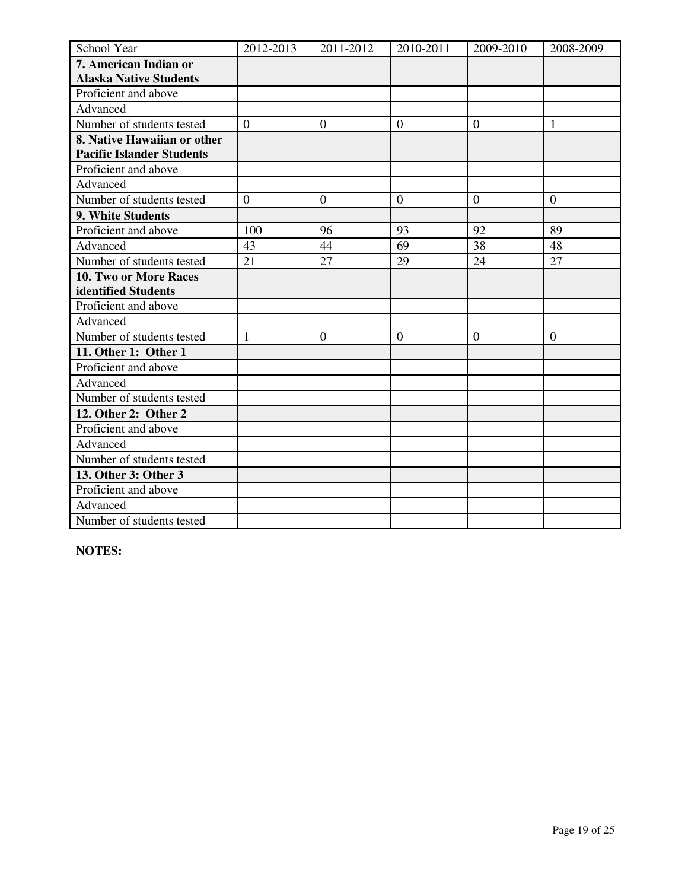| School Year                      | 2012-2013      | 2011-2012      | 2010-2011        | 2009-2010        | 2008-2009      |
|----------------------------------|----------------|----------------|------------------|------------------|----------------|
| 7. American Indian or            |                |                |                  |                  |                |
| <b>Alaska Native Students</b>    |                |                |                  |                  |                |
| Proficient and above             |                |                |                  |                  |                |
| Advanced                         |                |                |                  |                  |                |
| Number of students tested        | $\overline{0}$ | $\overline{0}$ | $\boldsymbol{0}$ | $\overline{0}$   | $\mathbf{1}$   |
| 8. Native Hawaiian or other      |                |                |                  |                  |                |
| <b>Pacific Islander Students</b> |                |                |                  |                  |                |
| Proficient and above             |                |                |                  |                  |                |
| Advanced                         |                |                |                  |                  |                |
| Number of students tested        | $\overline{0}$ | $\overline{0}$ | $\overline{0}$   | $\overline{0}$   | $\overline{0}$ |
| 9. White Students                |                |                |                  |                  |                |
| Proficient and above             | 100            | 96             | 93               | 92               | 89             |
| Advanced                         | 43             | 44             | 69               | 38               | 48             |
| Number of students tested        | 21             | 27             | 29               | 24               | 27             |
| 10. Two or More Races            |                |                |                  |                  |                |
| identified Students              |                |                |                  |                  |                |
| Proficient and above             |                |                |                  |                  |                |
| Advanced                         |                |                |                  |                  |                |
| Number of students tested        | $\mathbf{1}$   | $\overline{0}$ | $\boldsymbol{0}$ | $\boldsymbol{0}$ | $\mathbf{0}$   |
| 11. Other 1: Other 1             |                |                |                  |                  |                |
| Proficient and above             |                |                |                  |                  |                |
| Advanced                         |                |                |                  |                  |                |
| Number of students tested        |                |                |                  |                  |                |
| 12. Other 2: Other 2             |                |                |                  |                  |                |
| Proficient and above             |                |                |                  |                  |                |
| Advanced                         |                |                |                  |                  |                |
| Number of students tested        |                |                |                  |                  |                |
| 13. Other 3: Other 3             |                |                |                  |                  |                |
| Proficient and above             |                |                |                  |                  |                |
| Advanced                         |                |                |                  |                  |                |
| Number of students tested        |                |                |                  |                  |                |

**NOTES:**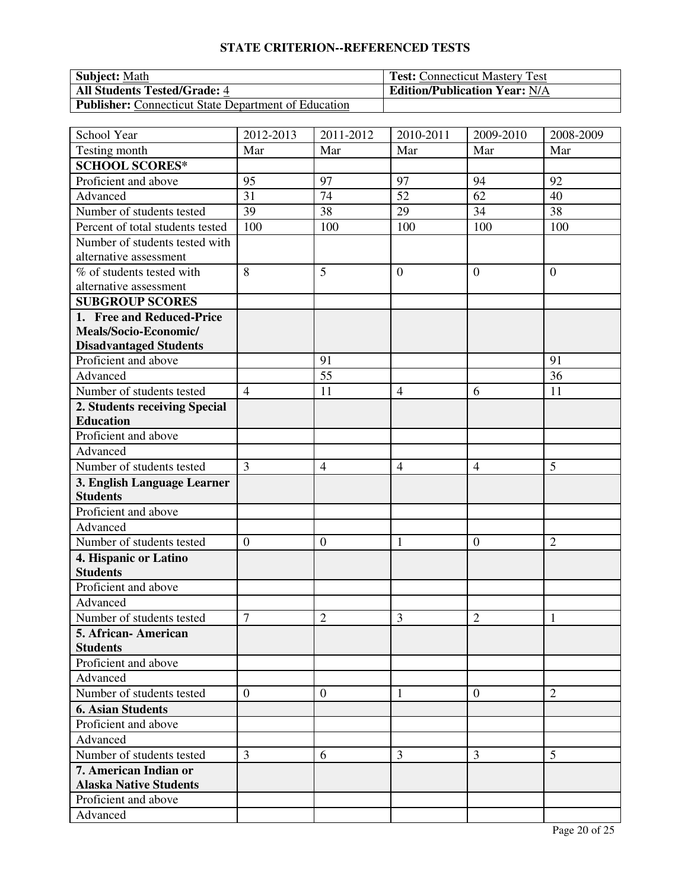# **STATE CRITERION--REFERENCED TESTS**

| <b>Subject:</b> Math                                        | <b>Test:</b> Connecticut Mastery Test |
|-------------------------------------------------------------|---------------------------------------|
| <b>All Students Tested/Grade: 4</b>                         | <b>Edition/Publication Year: N/A</b>  |
| <b>Publisher:</b> Connecticut State Department of Education |                                       |

| School Year                      | 2012-2013        | 2011-2012      | 2010-2011      | 2009-2010        | 2008-2009      |
|----------------------------------|------------------|----------------|----------------|------------------|----------------|
| Testing month                    | Mar              | Mar            | Mar            | Mar              | Mar            |
| <b>SCHOOL SCORES*</b>            |                  |                |                |                  |                |
| Proficient and above             | 95               | 97             | 97             | 94               | 92             |
| Advanced                         | 31               | 74             | 52             | 62               | 40             |
| Number of students tested        | 39               | 38             | 29             | 34               | 38             |
| Percent of total students tested | 100              | 100            | 100            | 100              | 100            |
| Number of students tested with   |                  |                |                |                  |                |
| alternative assessment           |                  |                |                |                  |                |
| % of students tested with        | 8                | 5              | $\overline{0}$ | $\boldsymbol{0}$ | $\theta$       |
| alternative assessment           |                  |                |                |                  |                |
| <b>SUBGROUP SCORES</b>           |                  |                |                |                  |                |
| 1. Free and Reduced-Price        |                  |                |                |                  |                |
| Meals/Socio-Economic/            |                  |                |                |                  |                |
| <b>Disadvantaged Students</b>    |                  |                |                |                  |                |
| Proficient and above             |                  | 91             |                |                  | 91             |
| Advanced                         |                  | 55             |                |                  | 36             |
| Number of students tested        | $\overline{4}$   | 11             | $\overline{4}$ | 6                | 11             |
| 2. Students receiving Special    |                  |                |                |                  |                |
| <b>Education</b>                 |                  |                |                |                  |                |
| Proficient and above             |                  |                |                |                  |                |
| Advanced                         |                  |                |                |                  |                |
| Number of students tested        | 3                | $\overline{4}$ | $\overline{4}$ | $\overline{4}$   | 5              |
| 3. English Language Learner      |                  |                |                |                  |                |
| <b>Students</b>                  |                  |                |                |                  |                |
| Proficient and above             |                  |                |                |                  |                |
| Advanced                         |                  |                |                |                  |                |
| Number of students tested        | $\boldsymbol{0}$ | $\mathbf{0}$   | $\mathbf{1}$   | $\boldsymbol{0}$ | $\overline{2}$ |
| 4. Hispanic or Latino            |                  |                |                |                  |                |
| <b>Students</b>                  |                  |                |                |                  |                |
| Proficient and above             |                  |                |                |                  |                |
| Advanced                         |                  |                |                |                  |                |
| Number of students tested        | $\tau$           | $\overline{2}$ | 3              | $\overline{2}$   | $\mathbf{1}$   |
| 5. African-American              |                  |                |                |                  |                |
| <b>Students</b>                  |                  |                |                |                  |                |
| Proficient and above             |                  |                |                |                  |                |
| Advanced                         |                  |                |                |                  |                |
| Number of students tested        | $\overline{0}$   | $\theta$       | 1              | $\overline{0}$   | $\overline{2}$ |
| <b>6. Asian Students</b>         |                  |                |                |                  |                |
| Proficient and above             |                  |                |                |                  |                |
| Advanced                         |                  |                |                |                  |                |
| Number of students tested        | 3                | 6              | 3              | 3                | 5              |
| 7. American Indian or            |                  |                |                |                  |                |
| <b>Alaska Native Students</b>    |                  |                |                |                  |                |
| Proficient and above             |                  |                |                |                  |                |
| Advanced                         |                  |                |                |                  |                |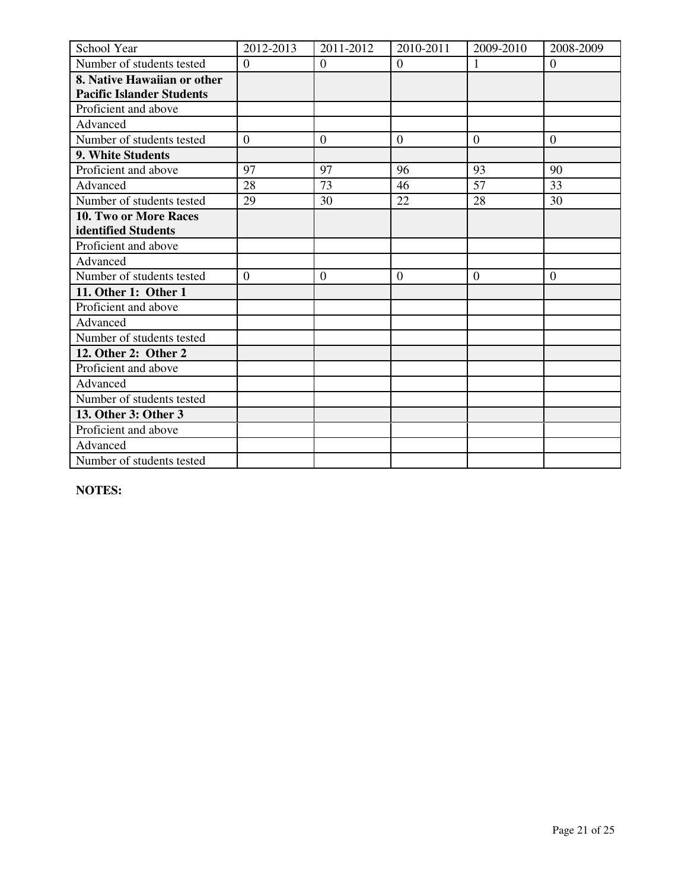| School Year                      | 2012-2013        | 2011-2012      | 2010-2011        | 2009-2010      | 2008-2009        |
|----------------------------------|------------------|----------------|------------------|----------------|------------------|
| Number of students tested        | $\boldsymbol{0}$ | $\overline{0}$ | $\boldsymbol{0}$ |                | $\overline{0}$   |
| 8. Native Hawaiian or other      |                  |                |                  |                |                  |
| <b>Pacific Islander Students</b> |                  |                |                  |                |                  |
| Proficient and above             |                  |                |                  |                |                  |
| Advanced                         |                  |                |                  |                |                  |
| Number of students tested        | $\overline{0}$   | $\overline{0}$ | $\overline{0}$   | $\overline{0}$ | $\overline{0}$   |
| 9. White Students                |                  |                |                  |                |                  |
| Proficient and above             | 97               | 97             | 96               | 93             | 90               |
| Advanced                         | 28               | 73             | 46               | 57             | 33               |
| Number of students tested        | 29               | 30             | 22               | 28             | 30               |
| <b>10. Two or More Races</b>     |                  |                |                  |                |                  |
| identified Students              |                  |                |                  |                |                  |
| Proficient and above             |                  |                |                  |                |                  |
| Advanced                         |                  |                |                  |                |                  |
| Number of students tested        | $\boldsymbol{0}$ | $\mathbf{0}$   | $\boldsymbol{0}$ | $\mathbf{0}$   | $\boldsymbol{0}$ |
| 11. Other 1: Other 1             |                  |                |                  |                |                  |
| Proficient and above             |                  |                |                  |                |                  |
| Advanced                         |                  |                |                  |                |                  |
| Number of students tested        |                  |                |                  |                |                  |
| 12. Other 2: Other 2             |                  |                |                  |                |                  |
| Proficient and above             |                  |                |                  |                |                  |
| Advanced                         |                  |                |                  |                |                  |
| Number of students tested        |                  |                |                  |                |                  |
| 13. Other 3: Other 3             |                  |                |                  |                |                  |
| Proficient and above             |                  |                |                  |                |                  |
| Advanced                         |                  |                |                  |                |                  |
| Number of students tested        |                  |                |                  |                |                  |

**NOTES:**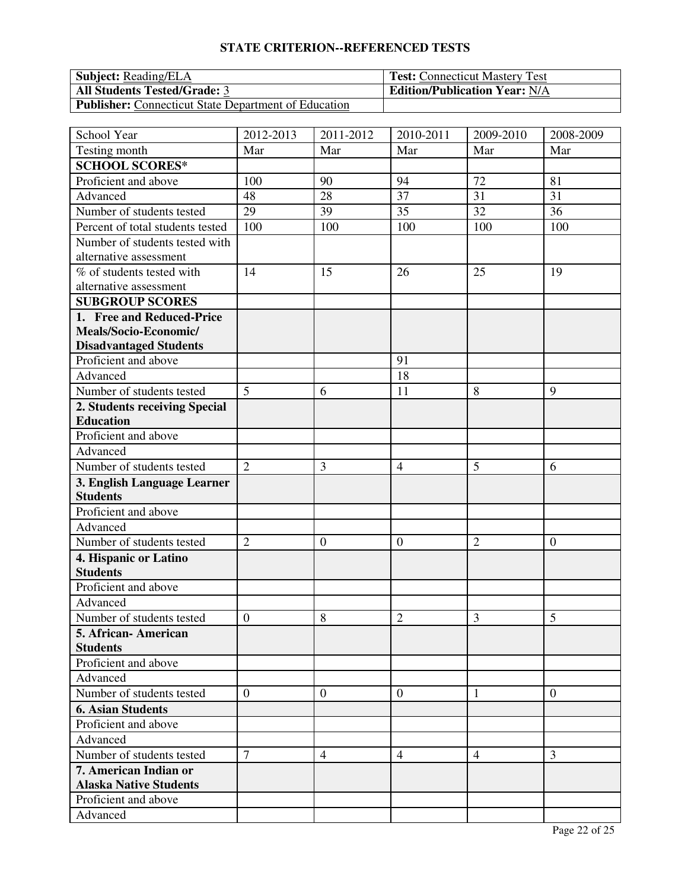# **STATE CRITERION--REFERENCED TESTS**

| <b>Subject:</b> Reading/ELA                                 | <b>Test:</b> Connecticut Mastery Test |
|-------------------------------------------------------------|---------------------------------------|
| <b>All Students Tested/Grade: 3</b>                         | <b>Edition/Publication Year: N/A</b>  |
| <b>Publisher:</b> Connecticut State Department of Education |                                       |

| School Year                      | 2012-2013        | 2011-2012      | 2010-2011      | 2009-2010      | 2008-2009      |
|----------------------------------|------------------|----------------|----------------|----------------|----------------|
| Testing month                    | Mar              | Mar            | Mar            | Mar            | Mar            |
| <b>SCHOOL SCORES*</b>            |                  |                |                |                |                |
| Proficient and above             | 100              | 90             | 94             | 72             | 81             |
| Advanced                         | 48               | 28             | 37             | 31             | 31             |
| Number of students tested        | 29               | 39             | 35             | 32             | 36             |
| Percent of total students tested | 100              | 100            | 100            | 100            | 100            |
| Number of students tested with   |                  |                |                |                |                |
| alternative assessment           |                  |                |                |                |                |
| % of students tested with        | 14               | 15             | 26             | 25             | 19             |
| alternative assessment           |                  |                |                |                |                |
| <b>SUBGROUP SCORES</b>           |                  |                |                |                |                |
| 1. Free and Reduced-Price        |                  |                |                |                |                |
| Meals/Socio-Economic/            |                  |                |                |                |                |
| <b>Disadvantaged Students</b>    |                  |                |                |                |                |
| Proficient and above             |                  |                | 91             |                |                |
| Advanced                         |                  |                | 18             |                |                |
| Number of students tested        | 5                | 6              | 11             | 8              | 9              |
| 2. Students receiving Special    |                  |                |                |                |                |
| <b>Education</b>                 |                  |                |                |                |                |
| Proficient and above             |                  |                |                |                |                |
| Advanced                         |                  |                |                |                |                |
| Number of students tested        | $\overline{2}$   | 3              | $\overline{4}$ | 5              | 6              |
| 3. English Language Learner      |                  |                |                |                |                |
| <b>Students</b>                  |                  |                |                |                |                |
| Proficient and above             |                  |                |                |                |                |
| Advanced                         |                  |                |                |                |                |
| Number of students tested        | $\overline{2}$   | $\mathbf{0}$   | $\mathbf{0}$   | $\overline{2}$ | $\mathbf{0}$   |
| 4. Hispanic or Latino            |                  |                |                |                |                |
| <b>Students</b>                  |                  |                |                |                |                |
| Proficient and above             |                  |                |                |                |                |
| Advanced                         |                  |                |                |                |                |
| Number of students tested        | $\boldsymbol{0}$ | 8              | $\overline{2}$ | 3              | 5              |
| 5. African-American              |                  |                |                |                |                |
| <b>Students</b>                  |                  |                |                |                |                |
| Proficient and above             |                  |                |                |                |                |
| Advanced                         |                  |                |                |                |                |
| Number of students tested        | $\overline{0}$   | $\overline{0}$ | $\theta$       | 1              | $\overline{0}$ |
| <b>6. Asian Students</b>         |                  |                |                |                |                |
| Proficient and above             |                  |                |                |                |                |
| Advanced                         |                  |                |                |                |                |
| Number of students tested        | $\overline{7}$   | $\overline{4}$ | $\overline{4}$ | $\overline{4}$ | 3              |
| 7. American Indian or            |                  |                |                |                |                |
| <b>Alaska Native Students</b>    |                  |                |                |                |                |
| Proficient and above             |                  |                |                |                |                |
| Advanced                         |                  |                |                |                |                |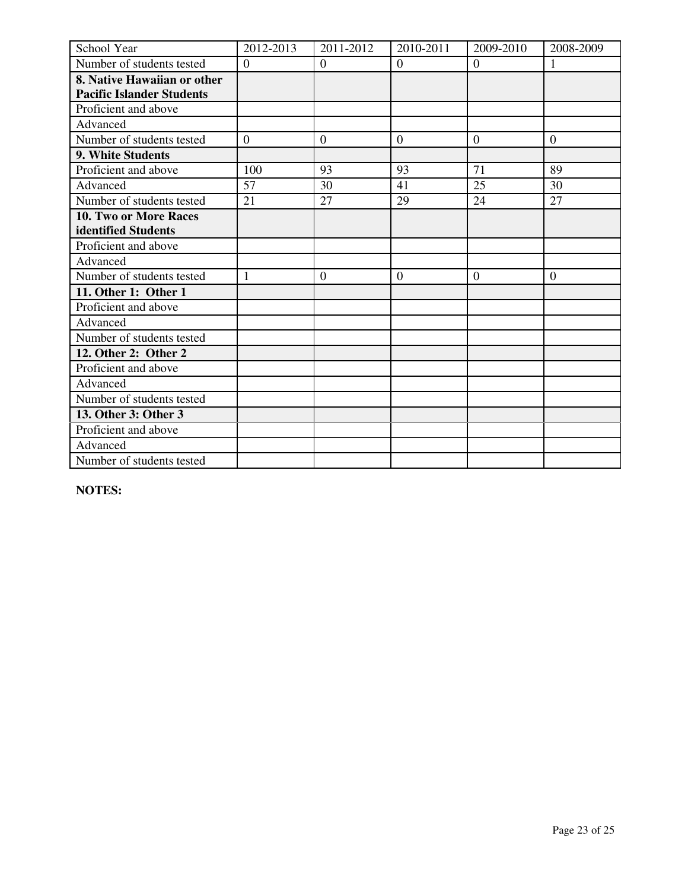| School Year                      | 2012-2013      | 2011-2012        | 2010-2011      | 2009-2010      | 2008-2009      |
|----------------------------------|----------------|------------------|----------------|----------------|----------------|
| Number of students tested        | $\overline{0}$ | $\overline{0}$   | $\overline{0}$ | $\mathbf{0}$   |                |
| 8. Native Hawaiian or other      |                |                  |                |                |                |
| <b>Pacific Islander Students</b> |                |                  |                |                |                |
| Proficient and above             |                |                  |                |                |                |
| Advanced                         |                |                  |                |                |                |
| Number of students tested        | $\overline{0}$ | $\theta$         | $\overline{0}$ | $\theta$       | $\overline{0}$ |
| 9. White Students                |                |                  |                |                |                |
| Proficient and above             | 100            | 93               | 93             | 71             | 89             |
| Advanced                         | 57             | 30               | 41             | 25             | 30             |
| Number of students tested        | 21             | 27               | 29             | 24             | 27             |
| 10. Two or More Races            |                |                  |                |                |                |
| identified Students              |                |                  |                |                |                |
| Proficient and above             |                |                  |                |                |                |
| Advanced                         |                |                  |                |                |                |
| Number of students tested        | 1              | $\boldsymbol{0}$ | $\overline{0}$ | $\overline{0}$ | $\overline{0}$ |
| 11. Other 1: Other 1             |                |                  |                |                |                |
| Proficient and above             |                |                  |                |                |                |
| Advanced                         |                |                  |                |                |                |
| Number of students tested        |                |                  |                |                |                |
| 12. Other 2: Other 2             |                |                  |                |                |                |
| Proficient and above             |                |                  |                |                |                |
| Advanced                         |                |                  |                |                |                |
| Number of students tested        |                |                  |                |                |                |
| 13. Other 3: Other 3             |                |                  |                |                |                |
| Proficient and above             |                |                  |                |                |                |
| Advanced                         |                |                  |                |                |                |
| Number of students tested        |                |                  |                |                |                |

**NOTES:**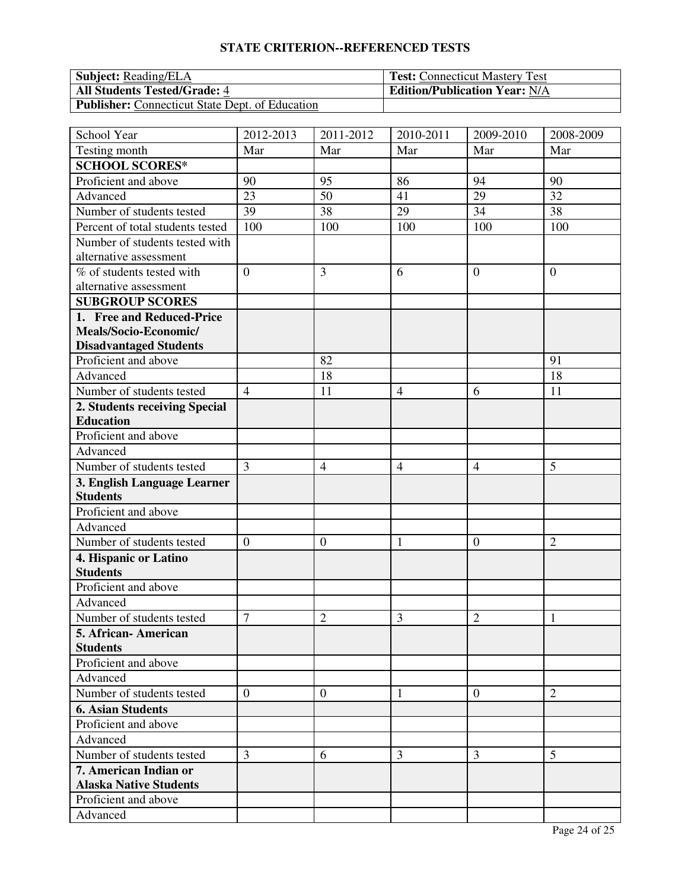# **STATE CRITERION--REFERENCED TESTS**

| <b>Subject:</b> Reading/ELA                            | <b>Test:</b> Connecticut Mastery Test |
|--------------------------------------------------------|---------------------------------------|
| <b>All Students Tested/Grade: 4</b>                    | <b>Edition/Publication Year: N/A</b>  |
| <b>Publisher:</b> Connecticut State Dept. of Education |                                       |

| School Year                      | 2012-2013      | 2011-2012      | 2010-2011      | 2009-2010        | 2008-2009      |
|----------------------------------|----------------|----------------|----------------|------------------|----------------|
| Testing month                    | Mar            | Mar            | Mar            | Mar              | Mar            |
| <b>SCHOOL SCORES*</b>            |                |                |                |                  |                |
| Proficient and above             | 90             | 95             | 86             | 94               | 90             |
| Advanced                         | 23             | 50             | 41             | 29               | 32             |
| Number of students tested        | 39             | 38             | 29             | 34               | 38             |
| Percent of total students tested | 100            | 100            | 100            | 100              | 100            |
| Number of students tested with   |                |                |                |                  |                |
| alternative assessment           |                |                |                |                  |                |
| % of students tested with        | $\overline{0}$ | 3              | 6              | $\overline{0}$   | $\mathbf{0}$   |
| alternative assessment           |                |                |                |                  |                |
| <b>SUBGROUP SCORES</b>           |                |                |                |                  |                |
| 1. Free and Reduced-Price        |                |                |                |                  |                |
| Meals/Socio-Economic/            |                |                |                |                  |                |
| <b>Disadvantaged Students</b>    |                |                |                |                  |                |
| Proficient and above             |                | 82             |                |                  | 91             |
| Advanced                         |                | 18             |                |                  | 18             |
| Number of students tested        | $\overline{4}$ | 11             | $\overline{4}$ | 6                | 11             |
| 2. Students receiving Special    |                |                |                |                  |                |
| <b>Education</b>                 |                |                |                |                  |                |
| Proficient and above             |                |                |                |                  |                |
| Advanced                         |                |                |                |                  |                |
| Number of students tested        | 3              | $\overline{4}$ | $\overline{4}$ | $\overline{4}$   | 5              |
| 3. English Language Learner      |                |                |                |                  |                |
| <b>Students</b>                  |                |                |                |                  |                |
| Proficient and above             |                |                |                |                  |                |
| Advanced                         |                |                |                |                  |                |
| Number of students tested        | $\overline{0}$ | $\overline{0}$ | $\mathbf{1}$   | $\boldsymbol{0}$ | $\overline{2}$ |
| 4. Hispanic or Latino            |                |                |                |                  |                |
| <b>Students</b>                  |                |                |                |                  |                |
| Proficient and above             |                |                |                |                  |                |
| Advanced                         |                |                |                |                  |                |
| Number of students tested        | $\overline{7}$ | $\overline{2}$ | 3              | $\overline{2}$   | 1              |
| 5. African- American             |                |                |                |                  |                |
| <b>Students</b>                  |                |                |                |                  |                |
| Proficient and above             |                |                |                |                  |                |
| Advanced                         |                |                |                |                  |                |
| Number of students tested        | $\overline{0}$ | $\overline{0}$ | 1              | $\overline{0}$   | $\overline{2}$ |
| <b>6. Asian Students</b>         |                |                |                |                  |                |
| Proficient and above             |                |                |                |                  |                |
| Advanced                         |                |                |                |                  |                |
| Number of students tested        | 3              | 6              | 3              | 3                | 5              |
| 7. American Indian or            |                |                |                |                  |                |
| <b>Alaska Native Students</b>    |                |                |                |                  |                |
| Proficient and above             |                |                |                |                  |                |
| Advanced                         |                |                |                |                  |                |